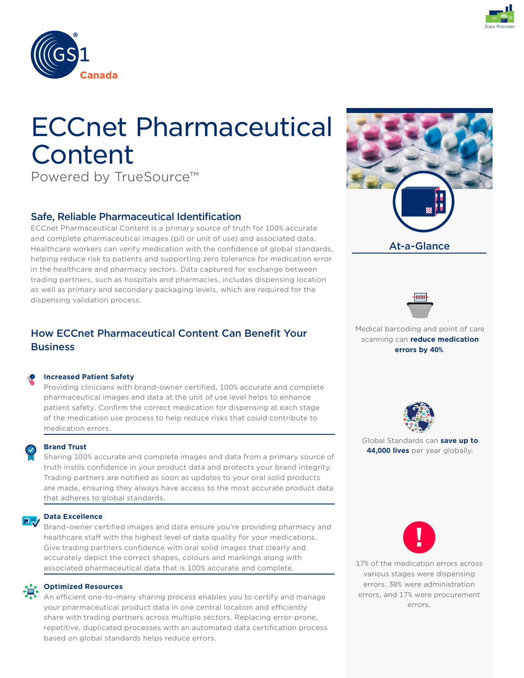



# ECCnet Pharmaceutical Content

Powered by TrueSource™

## Safe, Reliable Pharmaceutical Identification

ECCnet Pharmaceutical Content is a primary source of truth for 100% accurate and complete pharmaceutical images (pill or unit of use) and associated data. Healthcare workers can verify medication with the confidence of global standards, helping reduce risk to patients and supporting zero tolerance for medication error in the healthcare and pharmacy sectors. Data captured for exchange between trading partners, such as hospitals and pharmacies, includes dispensing location as well as primary and secondary packaging levels, which are required for the dispensing validation process.

## How ECCnet Pharmaceutical Content Can Benefit Your **Business**

#### **Increased Patient Safety**

Providing clinicians with brand-owner certified, 100% accurate and complete pharmaceutical images and data at the unit of use level helps to enhance patient safety. Confirm the correct medication for dispensing at each stage of the medication use process to help reduce risks that could contribute to medication errors.



### **Brand Trust**

Sharing 100% accurate and complete images and data from a primary source of truth instils confidence in your product data and protects your brand integrity. Trading partners are notified as soon as updates to your oral solid products are made, ensuring they always have access to the most accurate product data that adheres to global standards.

#### **Data Excellence** 日み

Brand-owner certified images and data ensure you're providing pharmacy and healthcare staff with the highest level of data quality for your medications. Give trading partners confidence with oral solid images that clearly and accurately depict the correct shapes, colours and markings along with associated pharmaceutical data that is 100% accurate and complete.

#### **Optimized Resources**

An efficient one-to-many sharing process enables you to certify and manage your pharmaceutical product data in one central location and efficiently share with trading partners across multiple sectors. Replacing error-prone, repetitive, duplicated processes with an automated data certification process based on global standards helps reduce errors.





Medical barcoding and point of care scanning can **reduce medication errors by 40%**.



Global Standards can **save up to 44,000 lives** per year globally.



17% of the medication errors across various stages were dispensing errors. 38% were administration errors, and 17% were procurement errors.